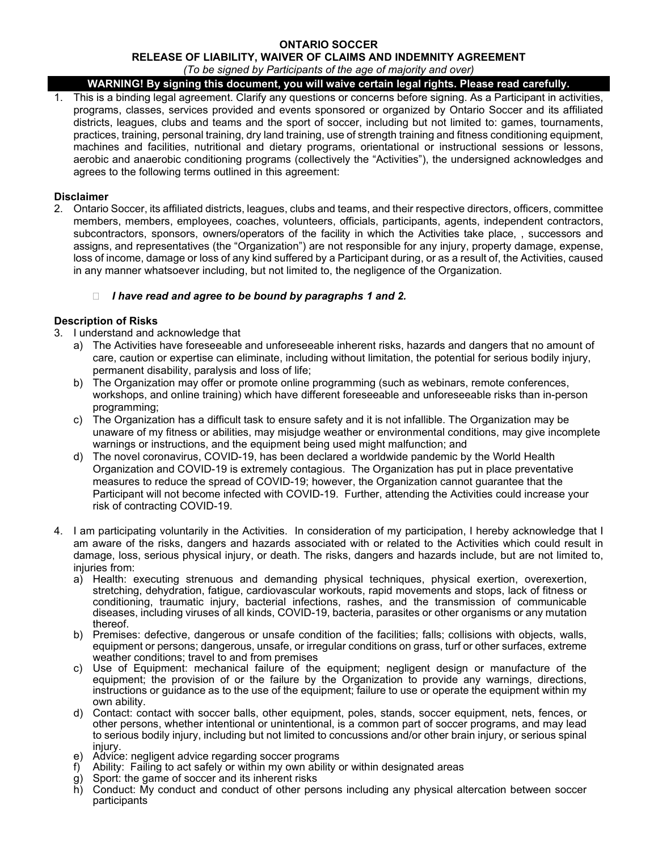### **ONTARIO SOCCER**

**RELEASE OF LIABILITY, WAIVER OF CLAIMS AND INDEMNITY AGREEMENT** *(To be signed by Participants of the age of majority and over)*

### **WARNING! By signing this document, you will waive certain legal rights. Please read carefully.**

1. This is a binding legal agreement. Clarify any questions or concerns before signing. As a Participant in activities, programs, classes, services provided and events sponsored or organized by Ontario Soccer and its affiliated districts, leagues, clubs and teams and the sport of soccer, including but not limited to: games, tournaments, practices, training, personal training, dry land training, use of strength training and fitness conditioning equipment, machines and facilities, nutritional and dietary programs, orientational or instructional sessions or lessons, aerobic and anaerobic conditioning programs (collectively the "Activities"), the undersigned acknowledges and agrees to the following terms outlined in this agreement:

#### **Disclaimer**

2. Ontario Soccer, its affiliated districts, leagues, clubs and teams, and their respective directors, officers, committee members, members, employees, coaches, volunteers, officials, participants, agents, independent contractors, subcontractors, sponsors, owners/operators of the facility in which the Activities take place, , successors and assigns, and representatives (the "Organization") are not responsible for any injury, property damage, expense, loss of income, damage or loss of any kind suffered by a Participant during, or as a result of, the Activities, caused in any manner whatsoever including, but not limited to, the negligence of the Organization.

### *I have read and agree to be bound by paragraphs 1 and 2.*

### **Description of Risks**

- 3. I understand and acknowledge that
	- a) The Activities have foreseeable and unforeseeable inherent risks, hazards and dangers that no amount of care, caution or expertise can eliminate, including without limitation, the potential for serious bodily injury, permanent disability, paralysis and loss of life;
	- b) The Organization may offer or promote online programming (such as webinars, remote conferences, workshops, and online training) which have different foreseeable and unforeseeable risks than in-person programming;
	- c) The Organization has a difficult task to ensure safety and it is not infallible. The Organization may be unaware of my fitness or abilities, may misjudge weather or environmental conditions, may give incomplete warnings or instructions, and the equipment being used might malfunction; and
	- d) The novel coronavirus, COVID-19, has been declared a worldwide pandemic by the World Health Organization and COVID-19 is extremely contagious. The Organization has put in place preventative measures to reduce the spread of COVID-19; however, the Organization cannot guarantee that the Participant will not become infected with COVID-19. Further, attending the Activities could increase your risk of contracting COVID-19.
- 4. I am participating voluntarily in the Activities. In consideration of my participation, I hereby acknowledge that I am aware of the risks, dangers and hazards associated with or related to the Activities which could result in damage, loss, serious physical injury, or death. The risks, dangers and hazards include, but are not limited to, injuries from:
	- a) Health: executing strenuous and demanding physical techniques, physical exertion, overexertion, stretching, dehydration, fatigue, cardiovascular workouts, rapid movements and stops, lack of fitness or conditioning, traumatic injury, bacterial infections, rashes, and the transmission of communicable diseases, including viruses of all kinds, COVID-19, bacteria, parasites or other organisms or any mutation thereof.
	- b) Premises: defective, dangerous or unsafe condition of the facilities; falls; collisions with objects, walls, equipment or persons; dangerous, unsafe, or irregular conditions on grass, turf or other surfaces, extreme weather conditions; travel to and from premises
	- c) Use of Equipment: mechanical failure of the equipment; negligent design or manufacture of the equipment; the provision of or the failure by the Organization to provide any warnings, directions, instructions or guidance as to the use of the equipment; failure to use or operate the equipment within my own ability.
	- d) Contact: contact with soccer balls, other equipment, poles, stands, soccer equipment, nets, fences, or other persons, whether intentional or unintentional, is a common part of soccer programs, and may lead to serious bodily injury, including but not limited to concussions and/or other brain injury, or serious spinal injury.
	- e) Advice: negligent advice regarding soccer programs<br>f) Ability: Failing to act safely or within my own ability of
	- Ability: Failing to act safely or within my own ability or within designated areas
	- g) Sport: the game of soccer and its inherent risks
	- h) Conduct: My conduct and conduct of other persons including any physical altercation between soccer participants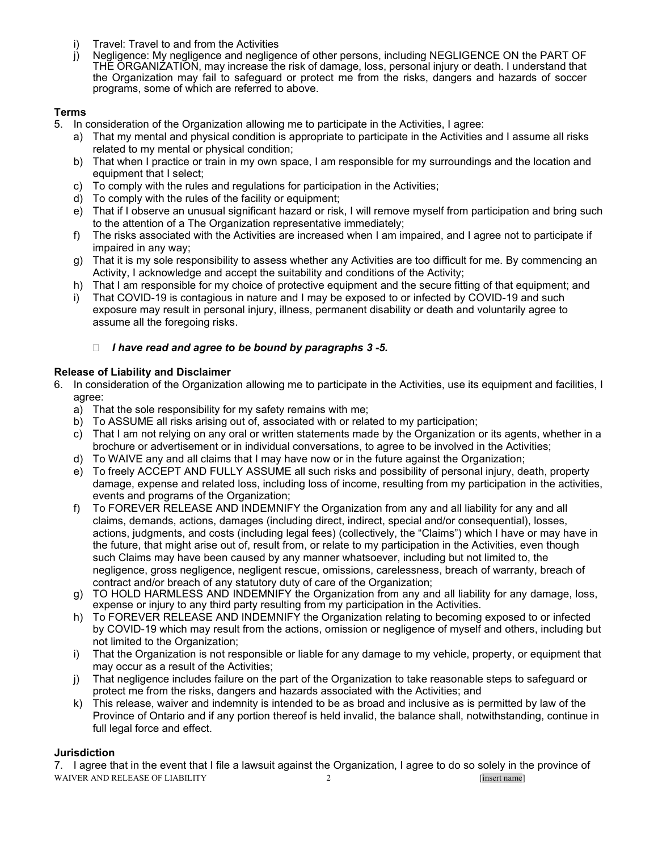- i) Travel: Travel to and from the Activities<br>i) Negligence: My negligence and neglige
- Negligence: My negligence and negligence of other persons, including NEGLIGENCE ON the PART OF THE ORGANIZATION, may increase the risk of damage, loss, personal injury or death. I understand that the Organization may fail to safeguard or protect me from the risks, dangers and hazards of soccer programs, some of which are referred to above.

# **Terms**

- 5. In consideration of the Organization allowing me to participate in the Activities, I agree:
	- a) That my mental and physical condition is appropriate to participate in the Activities and I assume all risks related to my mental or physical condition;
	- b) That when I practice or train in my own space, I am responsible for my surroundings and the location and equipment that I select;
	- c) To comply with the rules and regulations for participation in the Activities;
	- d) To comply with the rules of the facility or equipment;
	- e) That if I observe an unusual significant hazard or risk, I will remove myself from participation and bring such to the attention of a The Organization representative immediately;
	- f) The risks associated with the Activities are increased when I am impaired, and I agree not to participate if impaired in any way;
	- g) That it is my sole responsibility to assess whether any Activities are too difficult for me. By commencing an Activity, I acknowledge and accept the suitability and conditions of the Activity;
	- h) That I am responsible for my choice of protective equipment and the secure fitting of that equipment; and
	- i) That COVID-19 is contagious in nature and I may be exposed to or infected by COVID-19 and such exposure may result in personal injury, illness, permanent disability or death and voluntarily agree to assume all the foregoing risks.

## *I have read and agree to be bound by paragraphs 3 -5.*

### **Release of Liability and Disclaimer**

- 6. In consideration of the Organization allowing me to participate in the Activities, use its equipment and facilities, I agree:
	- a) That the sole responsibility for my safety remains with me;
	- b) To ASSUME all risks arising out of, associated with or related to my participation;
	- c) That I am not relying on any oral or written statements made by the Organization or its agents, whether in a brochure or advertisement or in individual conversations, to agree to be involved in the Activities;
	- d) To WAIVE any and all claims that I may have now or in the future against the Organization;
	- e) To freely ACCEPT AND FULLY ASSUME all such risks and possibility of personal injury, death, property damage, expense and related loss, including loss of income, resulting from my participation in the activities, events and programs of the Organization;
	- f) To FOREVER RELEASE AND INDEMNIFY the Organization from any and all liability for any and all claims, demands, actions, damages (including direct, indirect, special and/or consequential), losses, actions, judgments, and costs (including legal fees) (collectively, the "Claims") which I have or may have in the future, that might arise out of, result from, or relate to my participation in the Activities, even though such Claims may have been caused by any manner whatsoever, including but not limited to, the negligence, gross negligence, negligent rescue, omissions, carelessness, breach of warranty, breach of contract and/or breach of any statutory duty of care of the Organization;
	- g) TO HOLD HARMLESS AND INDEMNIFY the Organization from any and all liability for any damage, loss, expense or injury to any third party resulting from my participation in the Activities.
	- h) To FOREVER RELEASE AND INDEMNIFY the Organization relating to becoming exposed to or infected by COVID-19 which may result from the actions, omission or negligence of myself and others, including but not limited to the Organization;
	- i) That the Organization is not responsible or liable for any damage to my vehicle, property, or equipment that may occur as a result of the Activities;
	- j) That negligence includes failure on the part of the Organization to take reasonable steps to safeguard or protect me from the risks, dangers and hazards associated with the Activities; and
	- k) This release, waiver and indemnity is intended to be as broad and inclusive as is permitted by law of the Province of Ontario and if any portion thereof is held invalid, the balance shall, notwithstanding, continue in full legal force and effect.

## **Jurisdiction**

WAIVER AND RELEASE OF LIABILITY 2 2 and 2 and 2 insert name] 7. I agree that in the event that I file a lawsuit against the Organization, I agree to do so solely in the province of